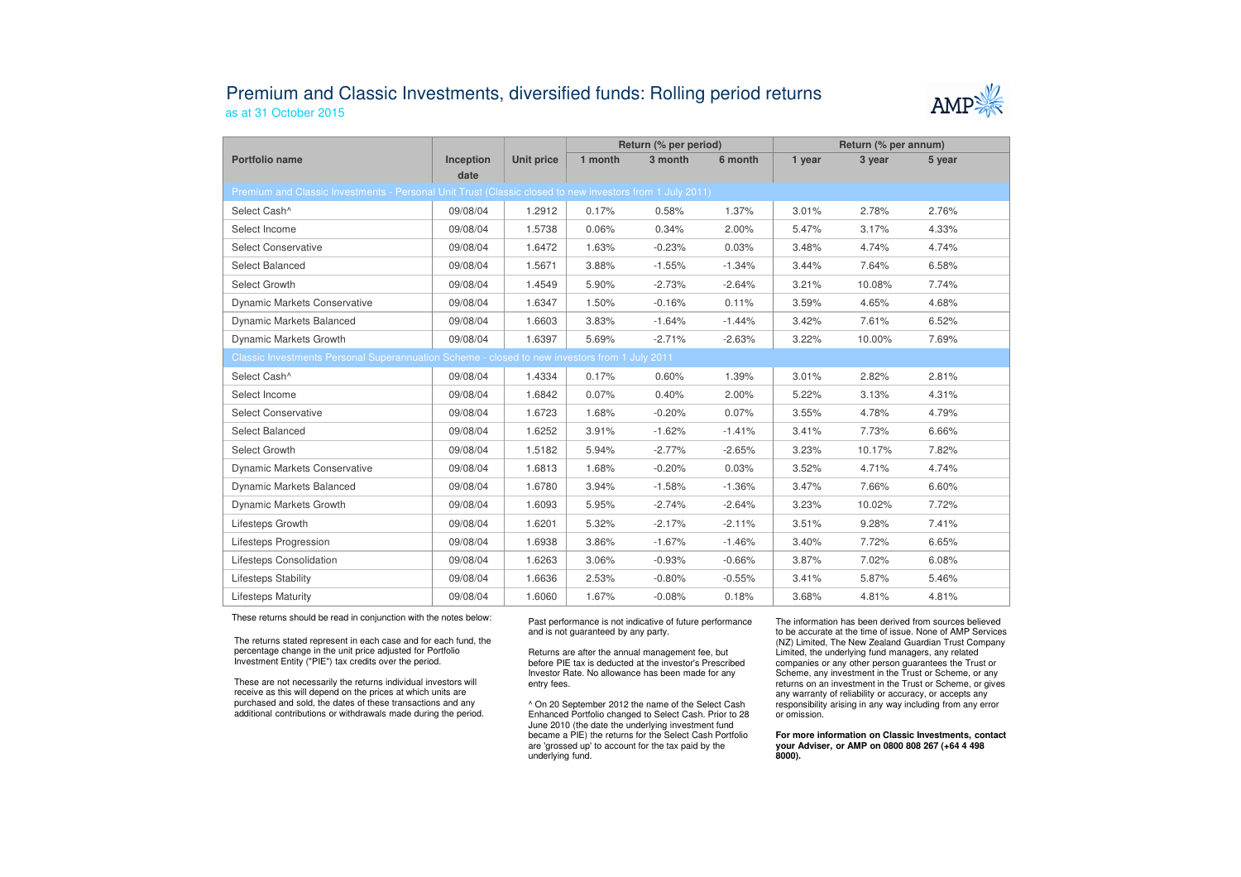## Premium and Classic Investments, diversified funds: Rolling period returnsas at 31 October 2015



|                                                                                                          |                   |            | Return (% per period) |          |          | Return (% per annum) |        |        |  |  |  |  |
|----------------------------------------------------------------------------------------------------------|-------------------|------------|-----------------------|----------|----------|----------------------|--------|--------|--|--|--|--|
| Portfolio name                                                                                           | Inception<br>date | Unit price | 1 month               | 3 month  | 6 month  | 1 year               | 3 year | 5 year |  |  |  |  |
| Premium and Classic Investments - Personal Unit Trust (Classic closed to new investors from 1 July 2011) |                   |            |                       |          |          |                      |        |        |  |  |  |  |
| Select Cash^                                                                                             | 09/08/04          | 1.2912     | 0.17%                 | 0.58%    | 1.37%    | 3.01%                | 2.78%  | 2.76%  |  |  |  |  |
| Select Income                                                                                            | 09/08/04          | 1.5738     | 0.06%                 | 0.34%    | 2.00%    | 5.47%                | 3.17%  | 4.33%  |  |  |  |  |
| <b>Select Conservative</b>                                                                               | 09/08/04          | 1.6472     | 1.63%                 | $-0.23%$ | 0.03%    | 3.48%                | 4.74%  | 4.74%  |  |  |  |  |
| Select Balanced                                                                                          | 09/08/04          | 1.5671     | 3.88%                 | $-1.55%$ | $-1.34%$ | 3.44%                | 7.64%  | 6.58%  |  |  |  |  |
| Select Growth                                                                                            | 09/08/04          | 1.4549     | 5.90%                 | $-2.73%$ | $-2.64%$ | 3.21%                | 10.08% | 7.74%  |  |  |  |  |
| <b>Dynamic Markets Conservative</b>                                                                      | 09/08/04          | 1.6347     | 1.50%                 | $-0.16%$ | 0.11%    | 3.59%                | 4.65%  | 4.68%  |  |  |  |  |
| Dynamic Markets Balanced                                                                                 | 09/08/04          | 1.6603     | 3.83%                 | $-1.64%$ | $-1.44%$ | 3.42%                | 7.61%  | 6.52%  |  |  |  |  |
| Dynamic Markets Growth                                                                                   | 09/08/04          | 1.6397     | 5.69%                 | $-2.71%$ | $-2.63%$ | 3.22%                | 10.00% | 7.69%  |  |  |  |  |
| Classic Investments Personal Superannuation Scheme - closed to new investors from 1 July 2011            |                   |            |                       |          |          |                      |        |        |  |  |  |  |
| Select Cash^                                                                                             | 09/08/04          | 1.4334     | 0.17%                 | 0.60%    | 1.39%    | 3.01%                | 2.82%  | 2.81%  |  |  |  |  |
| Select Income                                                                                            | 09/08/04          | 1.6842     | 0.07%                 | 0.40%    | 2.00%    | 5.22%                | 3.13%  | 4.31%  |  |  |  |  |
| <b>Select Conservative</b>                                                                               | 09/08/04          | 1.6723     | 1.68%                 | $-0.20%$ | 0.07%    | 3.55%                | 4.78%  | 4.79%  |  |  |  |  |
| Select Balanced                                                                                          | 09/08/04          | 1.6252     | 3.91%                 | $-1.62%$ | $-1.41%$ | 3.41%                | 7.73%  | 6.66%  |  |  |  |  |
| Select Growth                                                                                            | 09/08/04          | 1.5182     | 5.94%                 | $-2.77%$ | $-2.65%$ | 3.23%                | 10.17% | 7.82%  |  |  |  |  |
| <b>Dynamic Markets Conservative</b>                                                                      | 09/08/04          | 1.6813     | 1.68%                 | $-0.20%$ | 0.03%    | 3.52%                | 4.71%  | 4.74%  |  |  |  |  |
| <b>Dynamic Markets Balanced</b>                                                                          | 09/08/04          | 1.6780     | 3.94%                 | $-1.58%$ | $-1.36%$ | 3.47%                | 7.66%  | 6.60%  |  |  |  |  |
| Dynamic Markets Growth                                                                                   | 09/08/04          | 1.6093     | 5.95%                 | $-2.74%$ | $-2.64%$ | 3.23%                | 10.02% | 7.72%  |  |  |  |  |
| Lifesteps Growth                                                                                         | 09/08/04          | 1.6201     | 5.32%                 | $-2.17%$ | $-2.11%$ | 3.51%                | 9.28%  | 7.41%  |  |  |  |  |
| Lifesteps Progression                                                                                    | 09/08/04          | 1.6938     | 3.86%                 | $-1.67%$ | $-1.46%$ | 3.40%                | 7.72%  | 6.65%  |  |  |  |  |
| Lifesteps Consolidation                                                                                  | 09/08/04          | 1.6263     | 3.06%                 | $-0.93%$ | $-0.66%$ | 3.87%                | 7.02%  | 6.08%  |  |  |  |  |
| Lifesteps Stability                                                                                      | 09/08/04          | 1.6636     | 2.53%                 | $-0.80%$ | $-0.55%$ | 3.41%                | 5.87%  | 5.46%  |  |  |  |  |
| <b>Lifesteps Maturity</b>                                                                                | 09/08/04          | 1.6060     | 1.67%                 | $-0.08%$ | 0.18%    | 3.68%                | 4.81%  | 4.81%  |  |  |  |  |

These returns should be read in conjunction with the notes below:

The returns stated represent in each case and for each fund, the percentage change in the unit price adjusted for Portfolio Investment Entity ("PIE") tax credits over the period.

These are not necessarily the returns individual investors will receive as this will depend on the prices at which units are purchased and sold, the dates of these transactions and any additional contributions or withdrawals made during the period. Past performance is not indicative of future performance and is not guaranteed by any party.

Returns are after the annual management fee, but before PIE tax is deducted at the investor's Prescribed Investor Rate. No allowance has been made for any entry fees.

^ On 20 September 2012 the name of the Select Cash Enhanced Portfolio changed to Select Cash. Prior to 28 June 2010 (the date the underlying investment fund became a PIE) the returns for the Select Cash Portfolio are 'grossed up' to account for the tax paid by theunderlying fund.

The information has been derived from sources believed to be accurate at the time of issue. None of AMP Services (NZ) Limited, The New Zealand Guardian Trust Company Limited, the underlying fund managers, any related companies or any other person guarantees the Trust or Scheme, any investment in the Trust or Scheme, or any returns on an investment in the Trust or Scheme, or gives any warranty of reliability or accuracy, or accepts any responsibility arising in any way including from any error or omission.

**For more information on Classic Investments, contact your Adviser, or AMP on 0800 808 267 (+64 4 498 8000).**